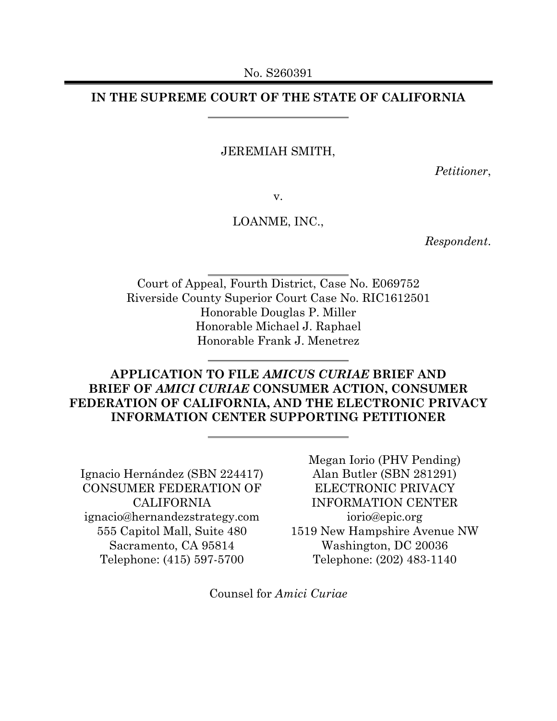## **IN THE SUPREME COURT OF THE STATE OF CALIFORNIA**

### JEREMIAH SMITH,

*Petitioner*,

v.

### LOANME, INC.,

*Respondent*.

Court of Appeal, Fourth District, Case No. E069752 Riverside County Superior Court Case No. RIC1612501 Honorable Douglas P. Miller Honorable Michael J. Raphael Honorable Frank J. Menetrez

# **APPLICATION TO FILE** *AMICUS CURIAE* **BRIEF AND BRIEF OF** *AMICI CURIAE* **CONSUMER ACTION, CONSUMER FEDERATION OF CALIFORNIA, AND THE ELECTRONIC PRIVACY INFORMATION CENTER SUPPORTING PETITIONER**

Ignacio Hernández (SBN 224417) CONSUMER FEDERATION OF **CALIFORNIA** ignacio@hernandezstrategy.com 555 Capitol Mall, Suite 480 Sacramento, CA 95814 Telephone: (415) 597-5700

Megan Iorio (PHV Pending) Alan Butler (SBN 281291) ELECTRONIC PRIVACY INFORMATION CENTER iorio@epic.org 1519 New Hampshire Avenue NW Washington, DC 20036 Telephone: (202) 483-1140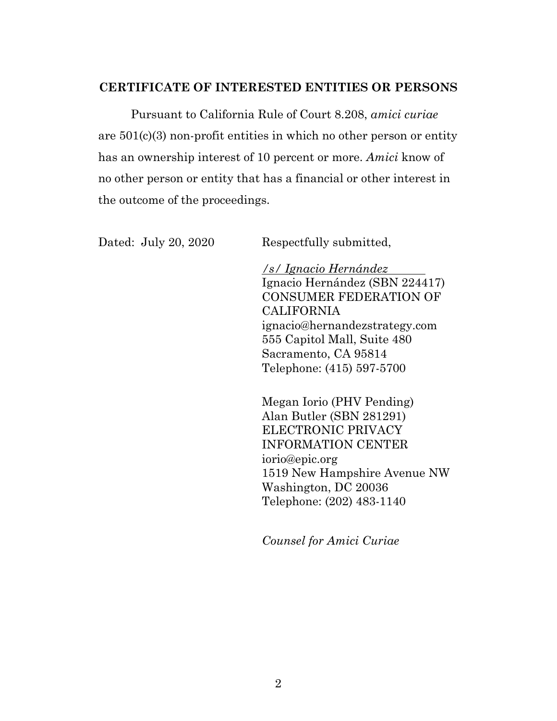## **CERTIFICATE OF INTERESTED ENTITIES OR PERSONS**

Pursuant to California Rule of Court 8.208, *amici curiae* are 501(c)(3) non-profit entities in which no other person or entity has an ownership interest of 10 percent or more. *Amici* know of no other person or entity that has a financial or other interest in the outcome of the proceedings.

Dated: July 20, 2020 Respectfully submitted,

*/s/ Ignacio Hernández*  Ignacio Hernández (SBN 224417) CONSUMER FEDERATION OF CALIFORNIA ignacio@hernandezstrategy.com 555 Capitol Mall, Suite 480 Sacramento, CA 95814 Telephone: (415) 597-5700

Megan Iorio (PHV Pending) Alan Butler (SBN 281291) ELECTRONIC PRIVACY INFORMATION CENTER iorio@epic.org 1519 New Hampshire Avenue NW Washington, DC 20036 Telephone: (202) 483-1140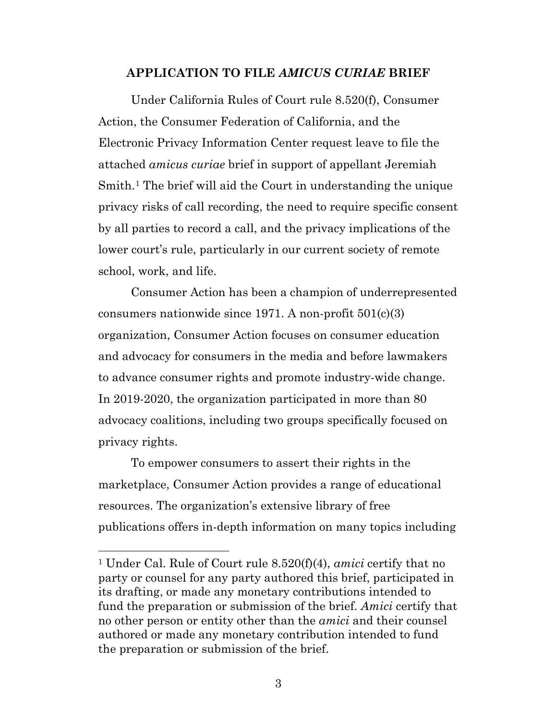### **APPLICATION TO FILE** *AMICUS CURIAE* **BRIEF**

Under California Rules of Court rule 8.520(f), Consumer Action, the Consumer Federation of California, and the Electronic Privacy Information Center request leave to file the attached *amicus curiae* brief in support of appellant Jeremiah Smith.[1](#page-2-0) The brief will aid the Court in understanding the unique privacy risks of call recording, the need to require specific consent by all parties to record a call, and the privacy implications of the lower court's rule, particularly in our current society of remote school, work, and life.

Consumer Action has been a champion of underrepresented consumers nationwide since 1971. A non-profit  $501(c)(3)$ organization, Consumer Action focuses on consumer education and advocacy for consumers in the media and before lawmakers to advance consumer rights and promote industry-wide change. In 2019-2020, the organization participated in more than 80 advocacy coalitions, including two groups specifically focused on privacy rights.

To empower consumers to assert their rights in the marketplace, Consumer Action provides a range of educational resources. The organization's extensive library of free publications offers in-depth information on many topics including

<span id="page-2-0"></span><sup>1</sup> Under Cal. Rule of Court rule 8.520(f)(4), *amici* certify that no party or counsel for any party authored this brief, participated in its drafting, or made any monetary contributions intended to fund the preparation or submission of the brief. *Amici* certify that no other person or entity other than the *amici* and their counsel authored or made any monetary contribution intended to fund the preparation or submission of the brief.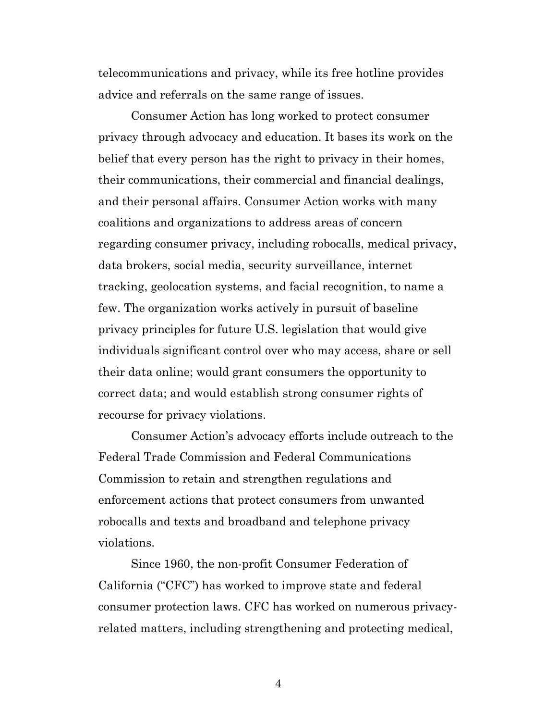telecommunications and privacy, while its free hotline provides advice and referrals on the same range of issues.

Consumer Action has long worked to protect consumer privacy through advocacy and education. It bases its work on the belief that every person has the right to privacy in their homes, their communications, their commercial and financial dealings, and their personal affairs. Consumer Action works with many coalitions and organizations to address areas of concern regarding consumer privacy, including robocalls, medical privacy, data brokers, social media, security surveillance, internet tracking, geolocation systems, and facial recognition, to name a few. The organization works actively in pursuit of baseline privacy principles for future U.S. legislation that would give individuals significant control over who may access, share or sell their data online; would grant consumers the opportunity to correct data; and would establish strong consumer rights of recourse for privacy violations.

Consumer Action's advocacy efforts include outreach to the Federal Trade Commission and Federal Communications Commission to retain and strengthen regulations and enforcement actions that protect consumers from unwanted robocalls and texts and broadband and telephone privacy violations.

Since 1960, the non-profit Consumer Federation of California ("CFC") has worked to improve state and federal consumer protection laws. CFC has worked on numerous privacyrelated matters, including strengthening and protecting medical,

4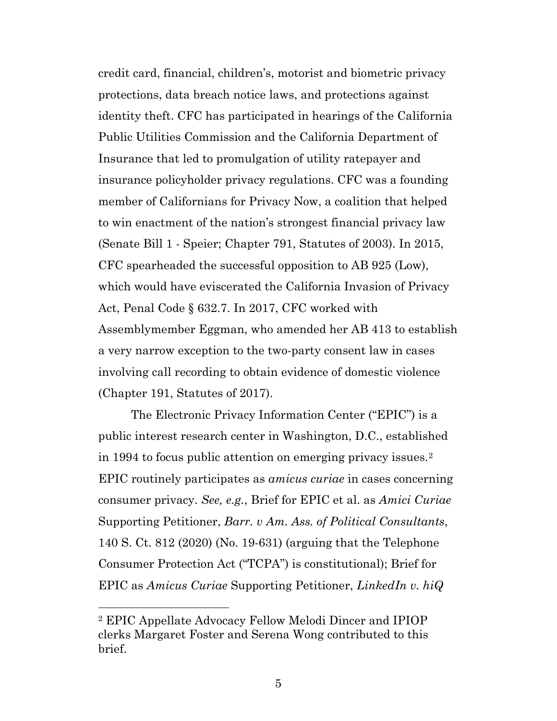credit card, financial, children's, motorist and biometric privacy protections, data breach notice laws, and protections against identity theft. CFC has participated in hearings of the California Public Utilities Commission and the California Department of Insurance that led to promulgation of utility ratepayer and insurance policyholder privacy regulations. CFC was a founding member of Californians for Privacy Now, a coalition that helped to win enactment of the nation's strongest financial privacy law (Senate Bill 1 - Speier; Chapter 791, Statutes of 2003). In 2015, CFC spearheaded the successful opposition to AB 925 (Low), which would have eviscerated the California Invasion of Privacy Act, Penal Code § 632.7. In 2017, CFC worked with Assemblymember Eggman, who amended her AB 413 to establish a very narrow exception to the two-party consent law in cases involving call recording to obtain evidence of domestic violence (Chapter 191, Statutes of 2017).

The Electronic Privacy Information Center ("EPIC") is a public interest research center in Washington, D.C., established in 1994 to focus public attention on emerging privacy issues.[2](#page-4-0) EPIC routinely participates as *amicus curiae* in cases concerning consumer privacy. *See, e.g.*, Brief for EPIC et al. as *Amici Curiae* Supporting Petitioner, *Barr. v Am. Ass. of Political Consultants*, 140 S. Ct. 812 (2020) (No. 19-631) (arguing that the Telephone Consumer Protection Act ("TCPA") is constitutional); Brief for EPIC as *Amicus Curiae* Supporting Petitioner, *LinkedIn v. hiQ* 

<span id="page-4-0"></span><sup>2</sup> EPIC Appellate Advocacy Fellow Melodi Dincer and IPIOP clerks Margaret Foster and Serena Wong contributed to this brief.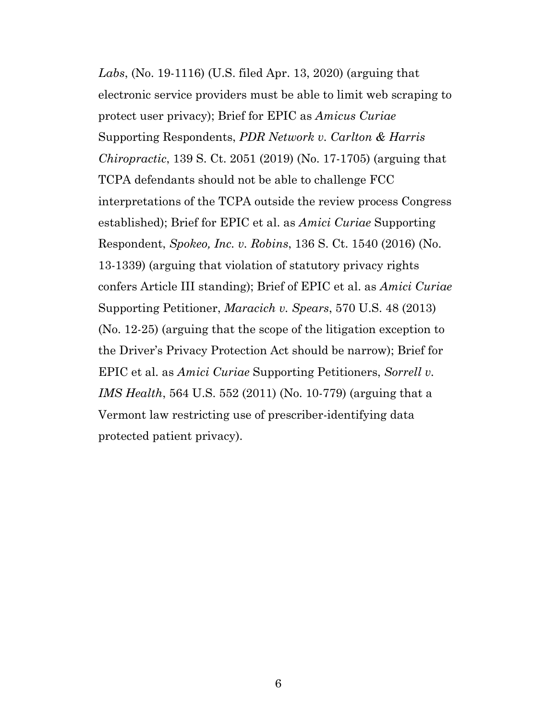*Labs*, (No. 19-1116) (U.S. filed Apr. 13, 2020) (arguing that electronic service providers must be able to limit web scraping to protect user privacy); Brief for EPIC as *Amicus Curiae*  Supporting Respondents, *PDR Network v. Carlton & Harris Chiropractic*, 139 S. Ct. 2051 (2019) (No. 17-1705) (arguing that TCPA defendants should not be able to challenge FCC interpretations of the TCPA outside the review process Congress established); Brief for EPIC et al. as *Amici Curiae* Supporting Respondent, *Spokeo, Inc. v. Robins*, 136 S. Ct. 1540 (2016) (No. 13-1339) (arguing that violation of statutory privacy rights confers Article III standing); Brief of EPIC et al. as *Amici Curiae* Supporting Petitioner, *Maracich v. Spears*, 570 U.S. 48 (2013) (No. 12-25) (arguing that the scope of the litigation exception to the Driver's Privacy Protection Act should be narrow); Brief for EPIC et al. as *Amici Curiae* Supporting Petitioners, *Sorrell v. IMS Health*, 564 U.S. 552 (2011) (No. 10-779) (arguing that a Vermont law restricting use of prescriber-identifying data protected patient privacy).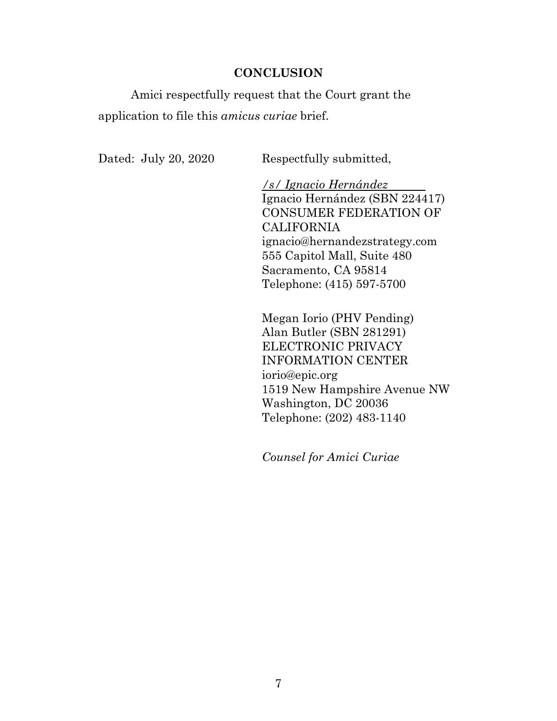## **CONCLUSION**

Amici respectfully request that the Court grant the application to file this *amicus curiae* brief.

Dated: July 20, 2020 Respectfully submitted,

*/s/ Ignacio Hernández*  Ignacio Hernández (SBN 224417) CONSUMER FEDERATION OF CALIFORNIA ignacio@hernandezstrategy.com 555 Capitol Mall, Suite 480 Sacramento, CA 95814 Telephone: (415) 597-5700

Megan Iorio (PHV Pending) Alan Butler (SBN 281291) ELECTRONIC PRIVACY INFORMATION CENTER iorio@epic.org 1519 New Hampshire Avenue NW Washington, DC 20036 Telephone: (202) 483-1140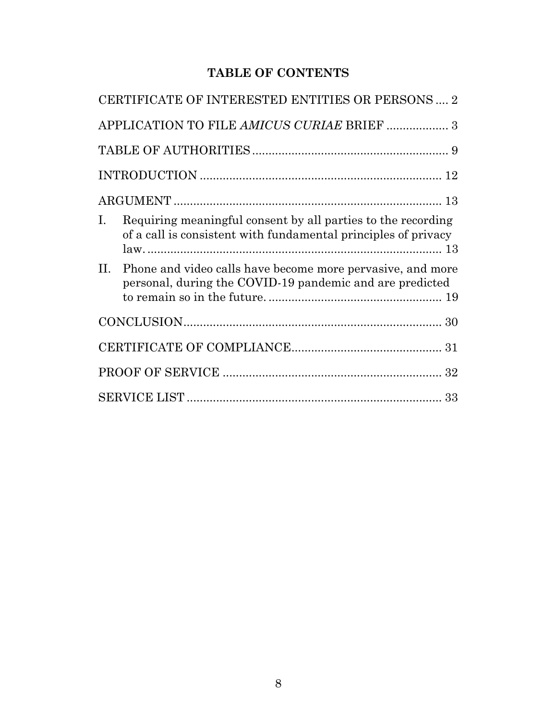# **TABLE OF CONTENTS**

|     | CERTIFICATE OF INTERESTED ENTITIES OR PERSONS  2                                                                               |  |  |
|-----|--------------------------------------------------------------------------------------------------------------------------------|--|--|
|     | APPLICATION TO FILE AMICUS CURIAE BRIEF  3                                                                                     |  |  |
|     |                                                                                                                                |  |  |
|     |                                                                                                                                |  |  |
|     |                                                                                                                                |  |  |
| Ι.  | Requiring meaningful consent by all parties to the recording<br>of a call is consistent with fundamental principles of privacy |  |  |
| II. | Phone and video calls have become more pervasive, and more<br>personal, during the COVID-19 pandemic and are predicted         |  |  |
|     |                                                                                                                                |  |  |
|     |                                                                                                                                |  |  |
|     |                                                                                                                                |  |  |
|     |                                                                                                                                |  |  |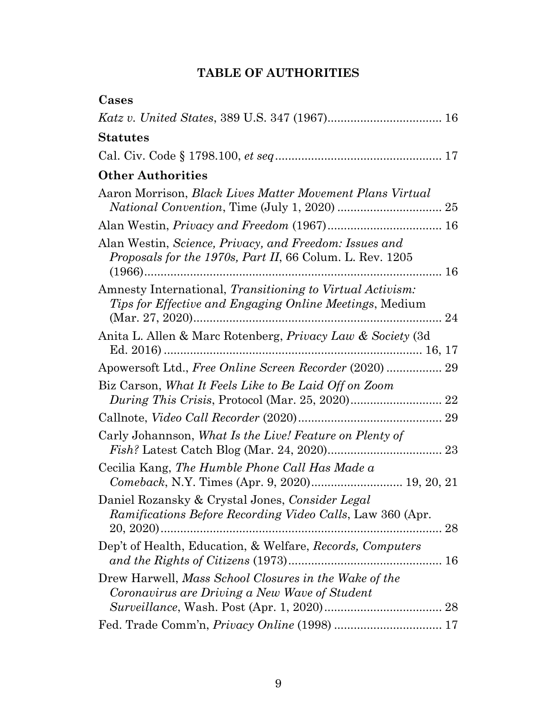| Cases                                                                                                                     |
|---------------------------------------------------------------------------------------------------------------------------|
|                                                                                                                           |
| <b>Statutes</b>                                                                                                           |
|                                                                                                                           |
| <b>Other Authorities</b>                                                                                                  |
| Aaron Morrison, <i>Black Lives Matter Movement Plans Virtual</i>                                                          |
|                                                                                                                           |
| Alan Westin, Science, Privacy, and Freedom: Issues and<br><i>Proposals for the 1970s, Part II, 66 Colum. L. Rev. 1205</i> |
| Amnesty International, Transitioning to Virtual Activism:<br>Tips for Effective and Engaging Online Meetings, Medium      |
| Anita L. Allen & Marc Rotenberg, Privacy Law & Society (3d)                                                               |
| Apowersoft Ltd., Free Online Screen Recorder (2020) 29                                                                    |
| Biz Carson, What It Feels Like to Be Laid Off on Zoom                                                                     |
|                                                                                                                           |
| Carly Johannson, What Is the Live! Feature on Plenty of                                                                   |
| Cecilia Kang, The Humble Phone Call Has Made a<br>Comeback, N.Y. Times (Apr. 9, 2020) 19, 20, 21                          |
| Daniel Rozansky & Crystal Jones, Consider Legal<br>Ramifications Before Recording Video Calls, Law 360 (Apr.              |
| Dep't of Health, Education, & Welfare, Records, Computers                                                                 |
| Drew Harwell, Mass School Closures in the Wake of the<br>Coronavirus are Driving a New Wave of Student                    |
|                                                                                                                           |
|                                                                                                                           |

# **TABLE OF AUTHORITIES**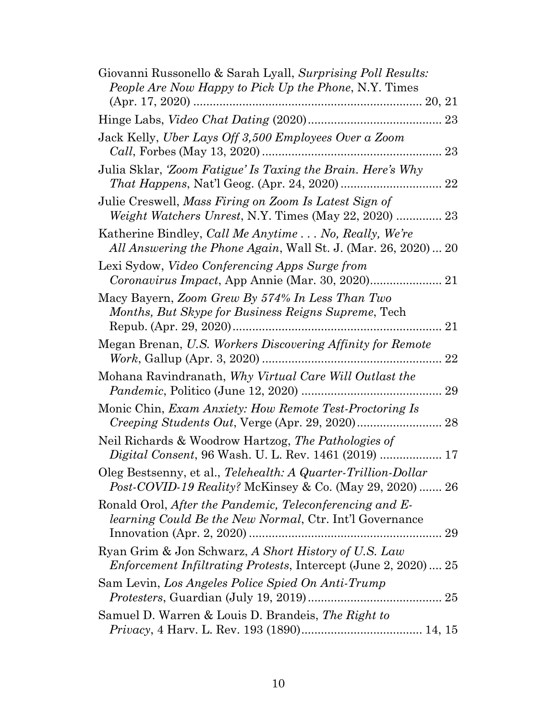| Giovanni Russonello & Sarah Lyall, Surprising Poll Results:<br>People Are Now Happy to Pick Up the Phone, N.Y. Times                         |
|----------------------------------------------------------------------------------------------------------------------------------------------|
|                                                                                                                                              |
|                                                                                                                                              |
| Jack Kelly, Uber Lays Off 3,500 Employees Over a Zoom                                                                                        |
| Julia Sklar, 'Zoom Fatigue' Is Taxing the Brain. Here's Why                                                                                  |
| Julie Creswell, Mass Firing on Zoom Is Latest Sign of<br><i>Weight Watchers Unrest, N.Y. Times (May 22, 2020)  23</i>                        |
| Katherine Bindley, <i>Call Me Anytime</i> No, <i>Really</i> , <i>We're</i><br>All Answering the Phone Again, Wall St. J. (Mar. 26, 2020)  20 |
| Lexi Sydow, <i>Video Conferencing Apps Surge from</i>                                                                                        |
| Macy Bayern, Zoom Grew By 574% In Less Than Two<br>Months, But Skype for Business Reigns Supreme, Tech                                       |
| Megan Brenan, U.S. Workers Discovering Affinity for Remote                                                                                   |
| Mohana Ravindranath, Why Virtual Care Will Outlast the                                                                                       |
| Monic Chin, Exam Anxiety: How Remote Test-Proctoring Is                                                                                      |
| Neil Richards & Woodrow Hartzog, The Pathologies of                                                                                          |
| Oleg Bestsenny, et al., Telehealth: A Quarter-Trillion-Dollar<br><i>Post-COVID-19 Reality?</i> McKinsey & Co. (May 29, 2020)  26             |
| Ronald Orol, After the Pandemic, Teleconferencing and E-<br><i>learning Could Be the New Normal</i> , Ctr. Int'l Governance<br>29            |
| Ryan Grim & Jon Schwarz, A Short History of U.S. Law<br><i>Enforcement Infiltrating Protests, Intercept (June 2, 2020) 25</i>                |
| Sam Levin, Los Angeles Police Spied On Anti-Trump                                                                                            |
| Samuel D. Warren & Louis D. Brandeis, The Right to                                                                                           |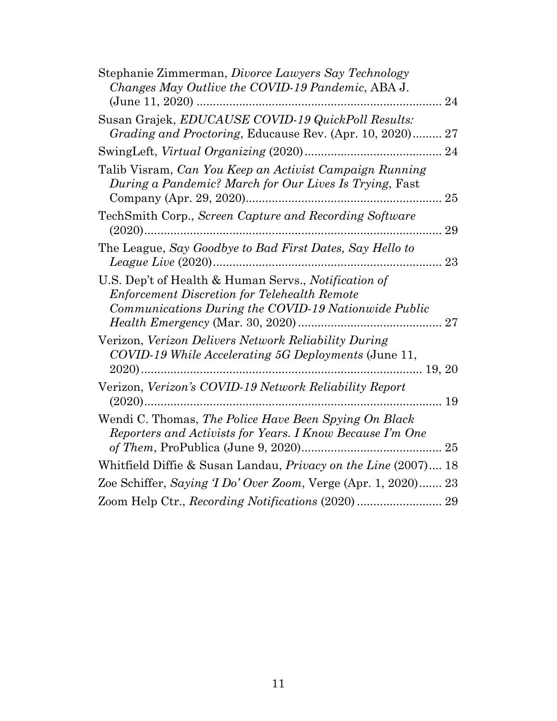| Stephanie Zimmerman, Divorce Lawyers Say Technology<br>Changes May Outlive the COVID-19 Pandemic, ABA J.                                                            |
|---------------------------------------------------------------------------------------------------------------------------------------------------------------------|
| 24                                                                                                                                                                  |
| Susan Grajek, EDUCAUSE COVID-19 QuickPoll Results:<br>Grading and Proctoring, Educause Rev. (Apr. 10, 2020) 27                                                      |
|                                                                                                                                                                     |
| Talib Visram, Can You Keep an Activist Campaign Running<br>During a Pandemic? March for Our Lives Is Trying, Fast<br>25                                             |
| TechSmith Corp., Screen Capture and Recording Software<br>29                                                                                                        |
| The League, Say Goodbye to Bad First Dates, Say Hello to<br>23                                                                                                      |
| U.S. Dep't of Health & Human Servs., Notification of<br><b>Enforcement Discretion for Telehealth Remote</b><br>Communications During the COVID-19 Nationwide Public |
| Verizon, Verizon Delivers Network Reliability During<br>COVID-19 While Accelerating 5G Deployments (June 11,                                                        |
| Verizon, Verizon's COVID-19 Network Reliability Report                                                                                                              |
| Wendi C. Thomas, The Police Have Been Spying On Black<br>Reporters and Activists for Years. I Know Because I'm One                                                  |
| Whitfield Diffie & Susan Landau, <i>Privacy on the Line</i> (2007) 18                                                                                               |
| Zoe Schiffer, Saying T Do' Over Zoom, Verge (Apr. 1, 2020) 23                                                                                                       |
| Zoom Help Ctr., Recording Notifications (2020)  29                                                                                                                  |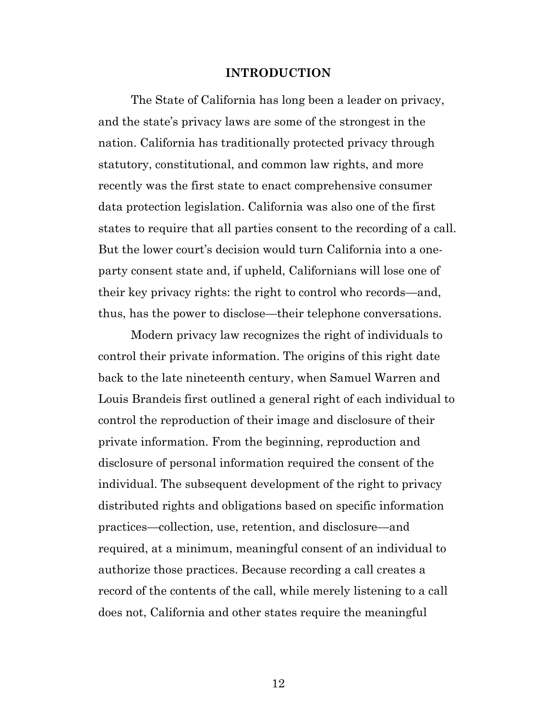#### **INTRODUCTION**

The State of California has long been a leader on privacy, and the state's privacy laws are some of the strongest in the nation. California has traditionally protected privacy through statutory, constitutional, and common law rights, and more recently was the first state to enact comprehensive consumer data protection legislation. California was also one of the first states to require that all parties consent to the recording of a call. But the lower court's decision would turn California into a oneparty consent state and, if upheld, Californians will lose one of their key privacy rights: the right to control who records—and, thus, has the power to disclose—their telephone conversations.

Modern privacy law recognizes the right of individuals to control their private information. The origins of this right date back to the late nineteenth century, when Samuel Warren and Louis Brandeis first outlined a general right of each individual to control the reproduction of their image and disclosure of their private information. From the beginning, reproduction and disclosure of personal information required the consent of the individual. The subsequent development of the right to privacy distributed rights and obligations based on specific information practices—collection, use, retention, and disclosure—and required, at a minimum, meaningful consent of an individual to authorize those practices. Because recording a call creates a record of the contents of the call, while merely listening to a call does not, California and other states require the meaningful

12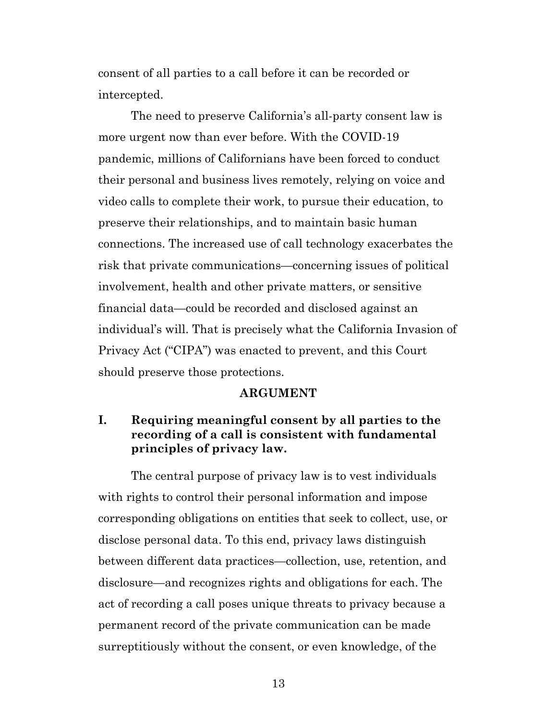consent of all parties to a call before it can be recorded or intercepted.

The need to preserve California's all-party consent law is more urgent now than ever before. With the COVID-19 pandemic, millions of Californians have been forced to conduct their personal and business lives remotely, relying on voice and video calls to complete their work, to pursue their education, to preserve their relationships, and to maintain basic human connections. The increased use of call technology exacerbates the risk that private communications—concerning issues of political involvement, health and other private matters, or sensitive financial data—could be recorded and disclosed against an individual's will. That is precisely what the California Invasion of Privacy Act ("CIPA") was enacted to prevent, and this Court should preserve those protections.

#### **ARGUMENT**

# **I. Requiring meaningful consent by all parties to the recording of a call is consistent with fundamental principles of privacy law.**

The central purpose of privacy law is to vest individuals with rights to control their personal information and impose corresponding obligations on entities that seek to collect, use, or disclose personal data. To this end, privacy laws distinguish between different data practices—collection, use, retention, and disclosure—and recognizes rights and obligations for each. The act of recording a call poses unique threats to privacy because a permanent record of the private communication can be made surreptitiously without the consent, or even knowledge, of the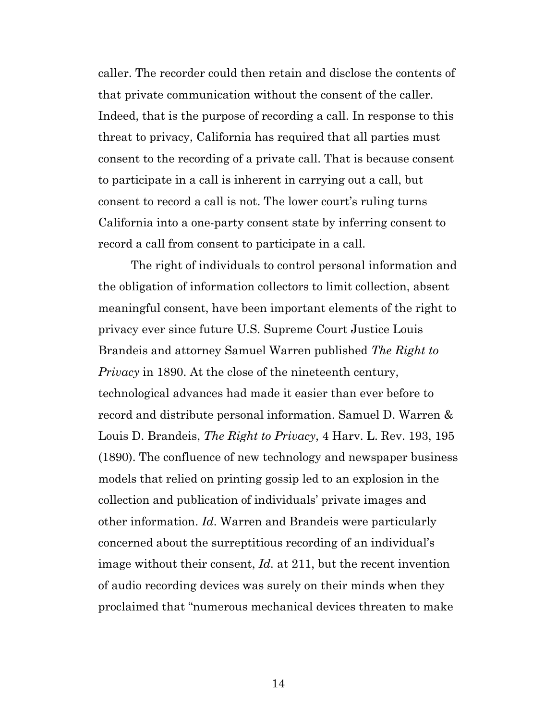caller. The recorder could then retain and disclose the contents of that private communication without the consent of the caller. Indeed, that is the purpose of recording a call. In response to this threat to privacy, California has required that all parties must consent to the recording of a private call. That is because consent to participate in a call is inherent in carrying out a call, but consent to record a call is not. The lower court's ruling turns California into a one-party consent state by inferring consent to record a call from consent to participate in a call.

The right of individuals to control personal information and the obligation of information collectors to limit collection, absent meaningful consent, have been important elements of the right to privacy ever since future U.S. Supreme Court Justice Louis Brandeis and attorney Samuel Warren published *The Right to Privacy* in 1890. At the close of the nineteenth century, technological advances had made it easier than ever before to record and distribute personal information. Samuel D. Warren & Louis D. Brandeis, *The Right to Privacy*, 4 Harv. L. Rev. 193, 195 (1890). The confluence of new technology and newspaper business models that relied on printing gossip led to an explosion in the collection and publication of individuals' private images and other information. *Id*. Warren and Brandeis were particularly concerned about the surreptitious recording of an individual's image without their consent, *Id.* at 211, but the recent invention of audio recording devices was surely on their minds when they proclaimed that "numerous mechanical devices threaten to make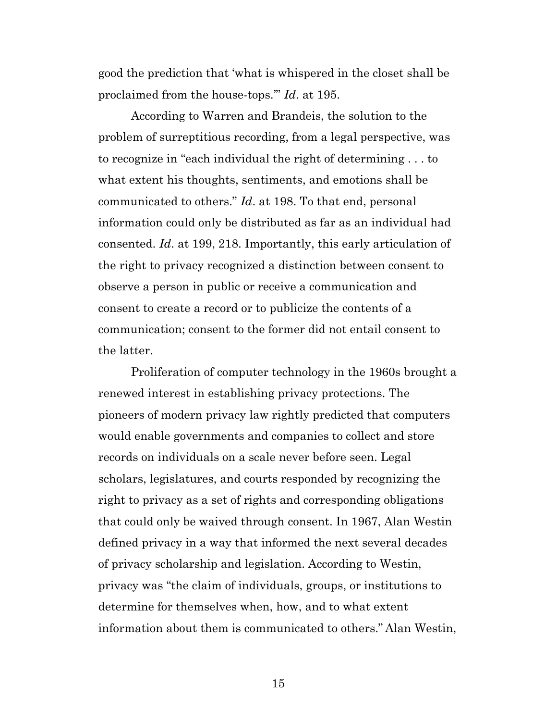good the prediction that 'what is whispered in the closet shall be proclaimed from the house-tops.'" *Id*. at 195.

According to Warren and Brandeis, the solution to the problem of surreptitious recording, from a legal perspective, was to recognize in "each individual the right of determining . . . to what extent his thoughts, sentiments, and emotions shall be communicated to others." *Id*. at 198. To that end, personal information could only be distributed as far as an individual had consented. *Id*. at 199, 218. Importantly, this early articulation of the right to privacy recognized a distinction between consent to observe a person in public or receive a communication and consent to create a record or to publicize the contents of a communication; consent to the former did not entail consent to the latter.

Proliferation of computer technology in the 1960s brought a renewed interest in establishing privacy protections. The pioneers of modern privacy law rightly predicted that computers would enable governments and companies to collect and store records on individuals on a scale never before seen. Legal scholars, legislatures, and courts responded by recognizing the right to privacy as a set of rights and corresponding obligations that could only be waived through consent. In 1967, Alan Westin defined privacy in a way that informed the next several decades of privacy scholarship and legislation. According to Westin, privacy was "the claim of individuals, groups, or institutions to determine for themselves when, how, and to what extent information about them is communicated to others." Alan Westin,

15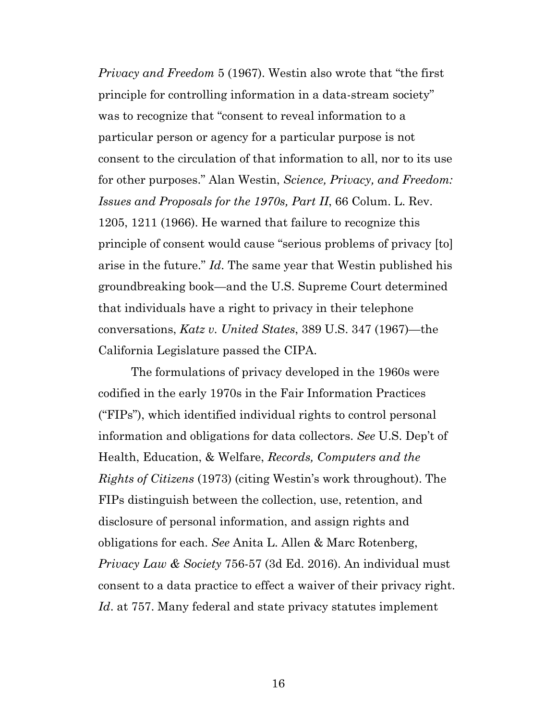*Privacy and Freedom* 5 (1967). Westin also wrote that "the first principle for controlling information in a data-stream society" was to recognize that "consent to reveal information to a particular person or agency for a particular purpose is not consent to the circulation of that information to all, nor to its use for other purposes." Alan Westin, *Science, Privacy, and Freedom: Issues and Proposals for the 1970s, Part II*, 66 Colum. L. Rev. 1205, 1211 (1966). He warned that failure to recognize this principle of consent would cause "serious problems of privacy [to] arise in the future." *Id*. The same year that Westin published his groundbreaking book—and the U.S. Supreme Court determined that individuals have a right to privacy in their telephone conversations, *Katz v. United States*, 389 U.S. 347 (1967)—the California Legislature passed the CIPA.

The formulations of privacy developed in the 1960s were codified in the early 1970s in the Fair Information Practices ("FIPs"), which identified individual rights to control personal information and obligations for data collectors. *See* U.S. Dep't of Health, Education, & Welfare, *Records, Computers and the Rights of Citizens* (1973) (citing Westin's work throughout). The FIPs distinguish between the collection, use, retention, and disclosure of personal information, and assign rights and obligations for each. *See* Anita L. Allen & Marc Rotenberg, *Privacy Law & Society* 756-57 (3d Ed. 2016). An individual must consent to a data practice to effect a waiver of their privacy right. *Id*. at 757. Many federal and state privacy statutes implement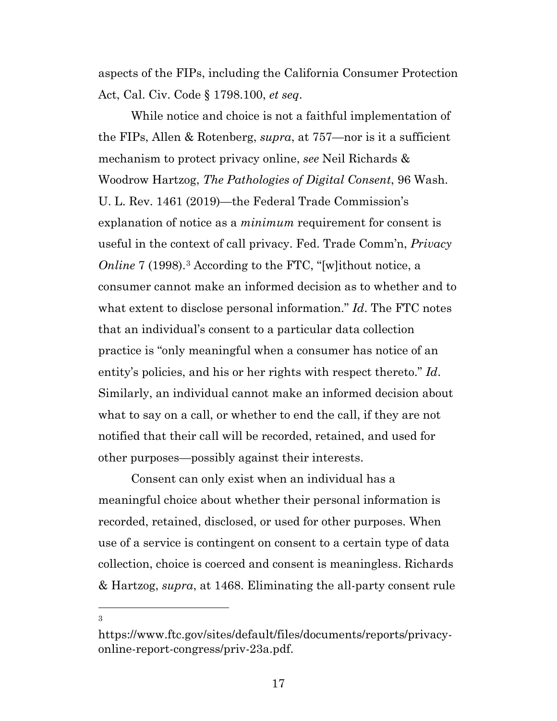aspects of the FIPs, including the California Consumer Protection Act, Cal. Civ. Code § 1798.100, *et seq*.

While notice and choice is not a faithful implementation of the FIPs, Allen & Rotenberg, *supra*, at 757—nor is it a sufficient mechanism to protect privacy online, *see* Neil Richards & Woodrow Hartzog, *The Pathologies of Digital Consent*, 96 Wash. U. L. Rev. 1461 (2019)—the Federal Trade Commission's explanation of notice as a *minimum* requirement for consent is useful in the context of call privacy. Fed. Trade Comm'n, *Privacy Online* 7 (1998).<sup>[3](#page-16-0)</sup> According to the FTC, "[w]ithout notice, a consumer cannot make an informed decision as to whether and to what extent to disclose personal information." *Id*. The FTC notes that an individual's consent to a particular data collection practice is "only meaningful when a consumer has notice of an entity's policies, and his or her rights with respect thereto." *Id*. Similarly, an individual cannot make an informed decision about what to say on a call, or whether to end the call, if they are not notified that their call will be recorded, retained, and used for other purposes—possibly against their interests.

Consent can only exist when an individual has a meaningful choice about whether their personal information is recorded, retained, disclosed, or used for other purposes. When use of a service is contingent on consent to a certain type of data collection, choice is coerced and consent is meaningless. Richards & Hartzog, *supra*, at 1468. Eliminating the all-party consent rule

<span id="page-16-0"></span>https://www.ftc.gov/sites/default/files/documents/reports/privacyonline-report-congress/priv-23a.pdf.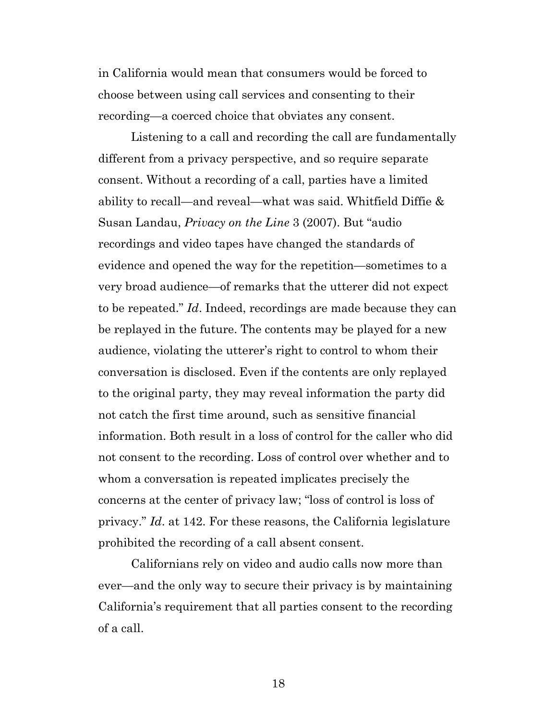in California would mean that consumers would be forced to choose between using call services and consenting to their recording—a coerced choice that obviates any consent.

Listening to a call and recording the call are fundamentally different from a privacy perspective, and so require separate consent. Without a recording of a call, parties have a limited ability to recall—and reveal—what was said. Whitfield Diffie & Susan Landau, *Privacy on the Line* 3 (2007). But "audio recordings and video tapes have changed the standards of evidence and opened the way for the repetition—sometimes to a very broad audience—of remarks that the utterer did not expect to be repeated." *Id*. Indeed, recordings are made because they can be replayed in the future. The contents may be played for a new audience, violating the utterer's right to control to whom their conversation is disclosed. Even if the contents are only replayed to the original party, they may reveal information the party did not catch the first time around, such as sensitive financial information. Both result in a loss of control for the caller who did not consent to the recording. Loss of control over whether and to whom a conversation is repeated implicates precisely the concerns at the center of privacy law; "loss of control is loss of privacy." *Id*. at 142. For these reasons, the California legislature prohibited the recording of a call absent consent.

Californians rely on video and audio calls now more than ever—and the only way to secure their privacy is by maintaining California's requirement that all parties consent to the recording of a call.

18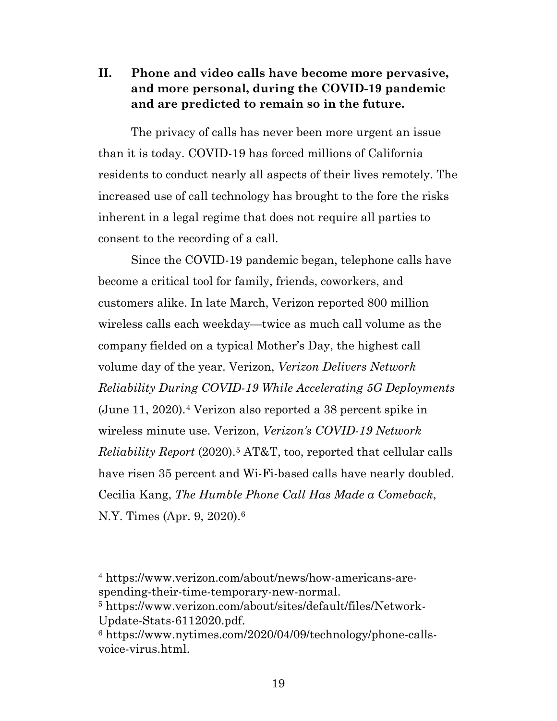**II. Phone and video calls have become more pervasive, and more personal, during the COVID-19 pandemic and are predicted to remain so in the future.**

The privacy of calls has never been more urgent an issue than it is today. COVID-19 has forced millions of California residents to conduct nearly all aspects of their lives remotely. The increased use of call technology has brought to the fore the risks inherent in a legal regime that does not require all parties to consent to the recording of a call.

Since the COVID-19 pandemic began, telephone calls have become a critical tool for family, friends, coworkers, and customers alike. In late March, Verizon reported 800 million wireless calls each weekday—twice as much call volume as the company fielded on a typical Mother's Day, the highest call volume day of the year. Verizon, *Verizon Delivers Network Reliability During COVID-19 While Accelerating 5G Deployments* (June 11, 2020).[4](#page-18-0) Verizon also reported a 38 percent spike in wireless minute use. Verizon, *Verizon's COVID-19 Network Reliability Report* (2020).[5](#page-18-1) AT&T, too, reported that cellular calls have risen 35 percent and Wi-Fi-based calls have nearly doubled. Cecilia Kang, *The Humble Phone Call Has Made a Comeback*, N.Y. Times (Apr. 9, 2020).[6](#page-18-2)

<span id="page-18-0"></span><sup>4</sup> https://www.verizon.com/about/news/how-americans-arespending-their-time-temporary-new-normal.

<span id="page-18-1"></span><sup>5</sup> https://www.verizon.com/about/sites/default/files/Network-Update-Stats-6112020.pdf.

<span id="page-18-2"></span><sup>6</sup> [https://www.nytimes.com/2020/04/09/technology/phone-calls](https://www.nytimes.com/2020/04/09/technology/phone-calls-voice-virus.html)[voice-virus.html.](https://www.nytimes.com/2020/04/09/technology/phone-calls-voice-virus.html)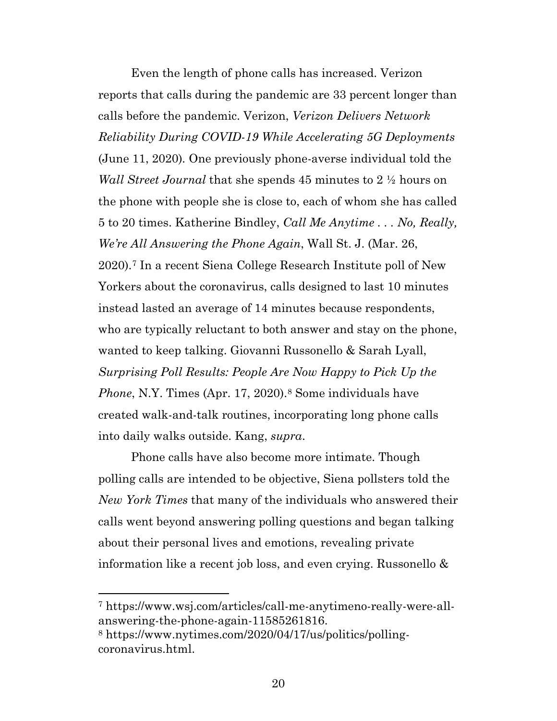Even the length of phone calls has increased. Verizon reports that calls during the pandemic are 33 percent longer than calls before the pandemic. Verizon, *Verizon Delivers Network Reliability During COVID-19 While Accelerating 5G Deployments* (June 11, 2020)*.* One previously phone-averse individual told the *Wall Street Journal* that she spends 45 minutes to 2 ½ hours on the phone with people she is close to, each of whom she has called 5 to 20 times. Katherine Bindley, *Call Me Anytime . . . No, Really, We're All Answering the Phone Again*, Wall St. J. (Mar. 26, 2020).[7](#page-19-0) In a recent Siena College Research Institute poll of New Yorkers about the coronavirus, calls designed to last 10 minutes instead lasted an average of 14 minutes because respondents, who are typically reluctant to both answer and stay on the phone, wanted to keep talking. Giovanni Russonello & Sarah Lyall, *Surprising Poll Results: People Are Now Happy to Pick Up the Phone*, N.Y. Times (Apr. 17, 2020).<sup>[8](#page-19-1)</sup> Some individuals have created walk-and-talk routines, incorporating long phone calls into daily walks outside. Kang, *supra*.

Phone calls have also become more intimate. Though polling calls are intended to be objective, Siena pollsters told the *New York Times* that many of the individuals who answered their calls went beyond answering polling questions and began talking about their personal lives and emotions, revealing private information like a recent job loss, and even crying. Russonello &

<span id="page-19-0"></span><sup>7</sup> [https://www.wsj.com/articles/call-me-anytimeno-really-were-all](https://www.wsj.com/articles/call-me-anytimeno-really-were-all-answering-the-phone-again-11585261816)[answering-the-phone-again-11585261816.](https://www.wsj.com/articles/call-me-anytimeno-really-were-all-answering-the-phone-again-11585261816)

<span id="page-19-1"></span><sup>8</sup> [https://www.nytimes.com/2020/04/17/us/politics/polling](https://www.nytimes.com/2020/04/17/us/politics/polling-coronavirus.html)[coronavirus.html.](https://www.nytimes.com/2020/04/17/us/politics/polling-coronavirus.html)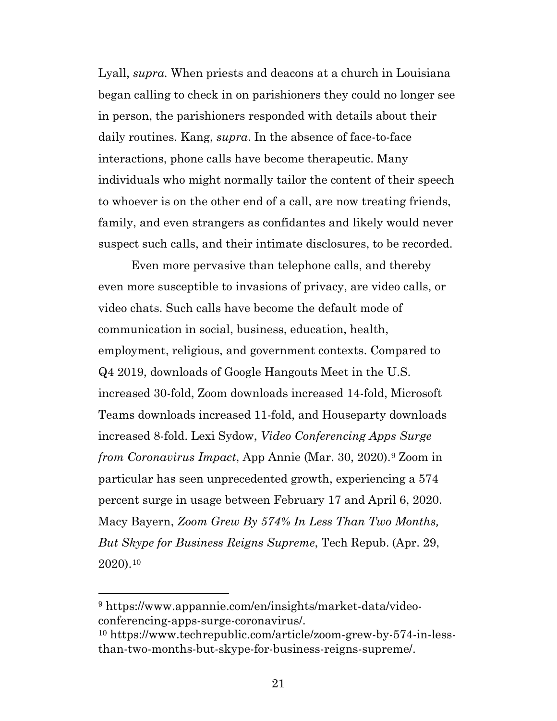Lyall, *supra.* When priests and deacons at a church in Louisiana began calling to check in on parishioners they could no longer see in person, the parishioners responded with details about their daily routines. Kang, *supra*. In the absence of face-to-face interactions, phone calls have become therapeutic. Many individuals who might normally tailor the content of their speech to whoever is on the other end of a call, are now treating friends, family, and even strangers as confidantes and likely would never suspect such calls, and their intimate disclosures, to be recorded.

Even more pervasive than telephone calls, and thereby even more susceptible to invasions of privacy, are video calls, or video chats. Such calls have become the default mode of communication in social, business, education, health, employment, religious, and government contexts. Compared to Q4 2019, downloads of Google Hangouts Meet in the U.S. increased 30-fold, Zoom downloads increased 14-fold, Microsoft Teams downloads increased 11-fold, and Houseparty downloads increased 8-fold. Lexi Sydow, *Video Conferencing Apps Surge from Coronavirus Impact*, App Annie (Mar. 30, 2020).[9](#page-20-0) Zoom in particular has seen unprecedented growth, experiencing a 574 percent surge in usage between February 17 and April 6, 2020. Macy Bayern, *Zoom Grew By 574% In Less Than Two Months, But Skype for Business Reigns Supreme*, Tech Repub. (Apr. 29, 2020).[10](#page-20-1)

<span id="page-20-0"></span><sup>9</sup> [https://www.appannie.com/en/insights/market-data/video](https://www.appannie.com/en/insights/market-data/video-conferencing-apps-surge-coronavirus/)[conferencing-apps-surge-coronavirus/.](https://www.appannie.com/en/insights/market-data/video-conferencing-apps-surge-coronavirus/)

<span id="page-20-1"></span><sup>10</sup> [https://www.techrepublic.com/article/zoom-grew-by-574-in-less](https://www.techrepublic.com/article/zoom-grew-by-574-in-less-than-two-months-but-skype-for-business-reigns-supreme/)[than-two-months-but-skype-for-business-reigns-supreme/.](https://www.techrepublic.com/article/zoom-grew-by-574-in-less-than-two-months-but-skype-for-business-reigns-supreme/)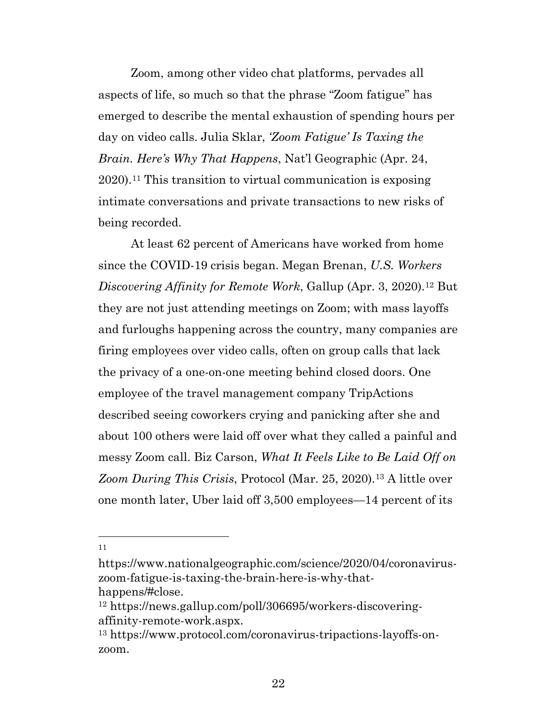Zoom, among other video chat platforms, pervades all aspects of life, so much so that the phrase "Zoom fatigue" has emerged to describe the mental exhaustion of spending hours per day on video calls. Julia Sklar, *'Zoom Fatigue' Is Taxing the Brain. Here's Why That Happens*, Nat'l Geographic (Apr. 24, 2020).[11](#page-21-0) This transition to virtual communication is exposing intimate conversations and private transactions to new risks of being recorded.

At least 62 percent of Americans have worked from home since the COVID-19 crisis began. Megan Brenan, *U.S. Workers Discovering Affinity for Remote Work*, Gallup (Apr. 3, 2020).[12](#page-21-1) But they are not just attending meetings on Zoom; with mass layoffs and furloughs happening across the country, many companies are firing employees over video calls, often on group calls that lack the privacy of a one-on-one meeting behind closed doors. One employee of the travel management company TripActions described seeing coworkers crying and panicking after she and about 100 others were laid off over what they called a painful and messy Zoom call. Biz Carson, *What It Feels Like to Be Laid Off on Zoom During This Crisis*, Protocol (Mar. 25, 2020).[13](#page-21-2) A little over one month later, Uber laid off 3,500 employees—14 percent of its

<span id="page-21-0"></span>[https://www.nationalgeographic.com/science/2020/04/coronavirus](https://www.nationalgeographic.com/science/2020/04/coronavirus-zoom-fatigue-is-taxing-the-brain-here-is-why-that-happens/#close)[zoom-fatigue-is-taxing-the-brain-here-is-why-that-](https://www.nationalgeographic.com/science/2020/04/coronavirus-zoom-fatigue-is-taxing-the-brain-here-is-why-that-happens/#close)

<span id="page-21-1"></span>[happens/#close.](https://www.nationalgeographic.com/science/2020/04/coronavirus-zoom-fatigue-is-taxing-the-brain-here-is-why-that-happens/#close)<br><sup>12</sup> [https://news.gallup.com/poll/306695/workers-discovering](https://news.gallup.com/poll/306695/workers-discovering-affinity-remote-work.aspx)[affinity-remote-work.aspx.](https://news.gallup.com/poll/306695/workers-discovering-affinity-remote-work.aspx)

<span id="page-21-2"></span><sup>13</sup> [https://www.protocol.com/coronavirus-tripactions-layoffs-on](https://www.protocol.com/coronavirus-tripactions-layoffs-on-zoom)[zoom.](https://www.protocol.com/coronavirus-tripactions-layoffs-on-zoom)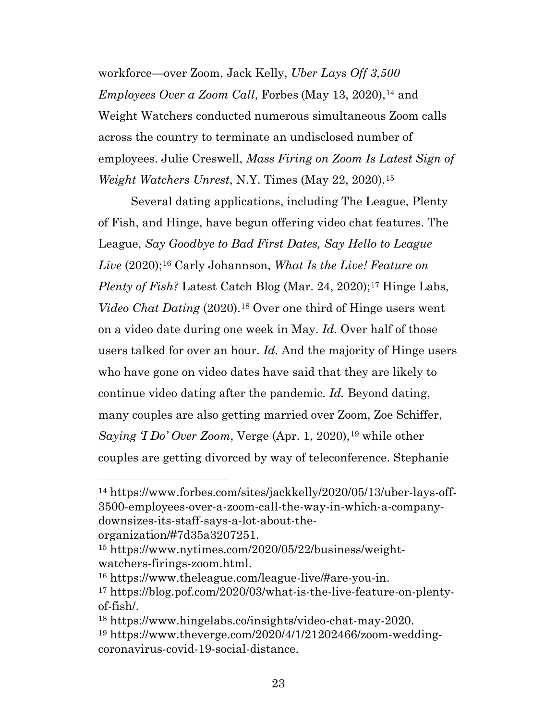workforce—over Zoom, Jack Kelly, *Uber Lays Off 3,500 Employees Over a Zoom Call*, Forbes (May 13, 2020),<sup>[14](#page-22-0)</sup> and Weight Watchers conducted numerous simultaneous Zoom calls across the country to terminate an undisclosed number of employees. Julie Creswell, *Mass Firing on Zoom Is Latest Sign of Weight Watchers Unrest*, N.Y. Times (May 22, 2020).[15](#page-22-1)

Several dating applications, including The League, Plenty of Fish, and Hinge, have begun offering video chat features. The League, *Say Goodbye to Bad First Dates, Say Hello to League Live* (2020);[16](#page-22-2) Carly Johannson, *What Is the Live! Feature on Plenty of Fish?* Latest Catch Blog (Mar. 24, 2020);<sup>[17](#page-22-3)</sup> Hinge Labs, *Video Chat Dating* (2020).[18](#page-22-4) Over one third of Hinge users went on a video date during one week in May. *Id.* Over half of those users talked for over an hour. *Id.* And the majority of Hinge users who have gone on video dates have said that they are likely to continue video dating after the pandemic. *Id.* Beyond dating, many couples are also getting married over Zoom, Zoe Schiffer, *Saying 'I Do' Over Zoom*, Verge (Apr. 1, 2020),<sup>[19](#page-22-5)</sup> while other couples are getting divorced by way of teleconference. Stephanie

<span id="page-22-0"></span><sup>14</sup> [https://www.forbes.com/sites/jackkelly/2020/05/13/uber-lays-off-](https://www.forbes.com/sites/jackkelly/2020/05/13/uber-lays-off-3500-employees-over-a-zoom-call-the-way-in-which-a-company-downsizes-its-staff-says-a-lot-about-the-organization/#7d35a3207251)[3500-employees-over-a-zoom-call-the-way-in-which-a-company](https://www.forbes.com/sites/jackkelly/2020/05/13/uber-lays-off-3500-employees-over-a-zoom-call-the-way-in-which-a-company-downsizes-its-staff-says-a-lot-about-the-organization/#7d35a3207251)[downsizes-its-staff-says-a-lot-about-the-](https://www.forbes.com/sites/jackkelly/2020/05/13/uber-lays-off-3500-employees-over-a-zoom-call-the-way-in-which-a-company-downsizes-its-staff-says-a-lot-about-the-organization/#7d35a3207251)

[organization/#7d35a3207251.](https://www.forbes.com/sites/jackkelly/2020/05/13/uber-lays-off-3500-employees-over-a-zoom-call-the-way-in-which-a-company-downsizes-its-staff-says-a-lot-about-the-organization/#7d35a3207251)

<span id="page-22-1"></span><sup>15</sup> [https://www.nytimes.com/2020/05/22/business/weight](https://www.nytimes.com/2020/05/22/business/weight-watchers-firings-zoom.html)[watchers-firings-zoom.html.](https://www.nytimes.com/2020/05/22/business/weight-watchers-firings-zoom.html)

<span id="page-22-2"></span><sup>16</sup> [https://www.theleague.com/league-live/#are-you-in.](https://www.theleague.com/league-live/#are-you-in)

<span id="page-22-3"></span><sup>17</sup> [https://blog.pof.com/2020/03/what-is-the-live-feature-on-plenty](https://blog.pof.com/2020/03/what-is-the-live-feature-on-plenty-of-fish/)[of-fish/.](https://blog.pof.com/2020/03/what-is-the-live-feature-on-plenty-of-fish/)

<span id="page-22-5"></span><span id="page-22-4"></span><sup>18</sup> [https://www.hingelabs.co/insights/video-chat-may-2020.](https://www.hingelabs.co/insights/video-chat-may-2020) <sup>19</sup> [https://www.theverge.com/2020/4/1/21202466/zoom-wedding](https://www.theverge.com/2020/4/1/21202466/zoom-wedding-coronavirus-covid-19-social-distance)[coronavirus-covid-19-social-distance.](https://www.theverge.com/2020/4/1/21202466/zoom-wedding-coronavirus-covid-19-social-distance)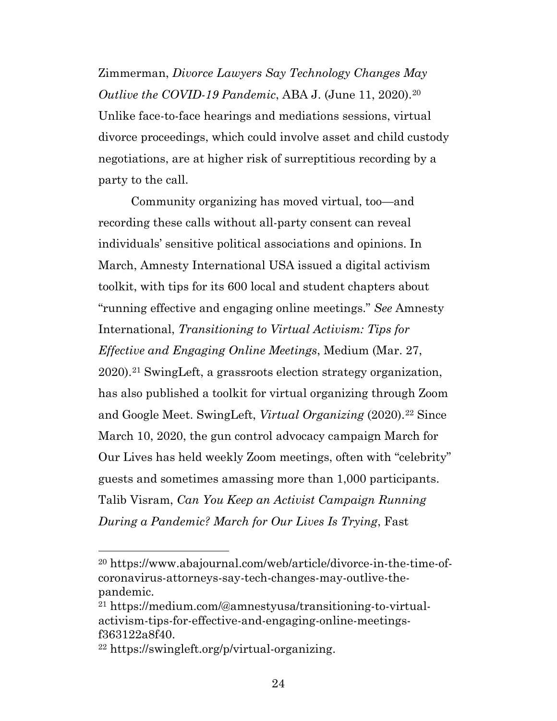Zimmerman, *Divorce Lawyers Say Technology Changes May Outlive the COVID-19 Pandemic*, ABA J. (June 11, 2020).[20](#page-23-0) Unlike face-to-face hearings and mediations sessions, virtual divorce proceedings, which could involve asset and child custody negotiations, are at higher risk of surreptitious recording by a party to the call.

Community organizing has moved virtual, too—and recording these calls without all-party consent can reveal individuals' sensitive political associations and opinions. In March, Amnesty International USA issued a digital activism toolkit, with tips for its 600 local and student chapters about "running effective and engaging online meetings." *See* Amnesty International, *Transitioning to Virtual Activism: Tips for Effective and Engaging Online Meetings*, Medium (Mar. 27, 2020).[21](#page-23-1) SwingLeft, a grassroots election strategy organization, has also published a toolkit for virtual organizing through Zoom and Google Meet. SwingLeft, *Virtual Organizing* (2020).<sup>[22](#page-23-2)</sup> Since March 10, 2020, the gun control advocacy campaign March for Our Lives has held weekly Zoom meetings, often with "celebrity" guests and sometimes amassing more than 1,000 participants. Talib Visram, *Can You Keep an Activist Campaign Running During a Pandemic? March for Our Lives Is Trying*, Fast

<span id="page-23-0"></span><sup>20</sup> [https://www.abajournal.com/web/article/divorce-in-the-time-of](https://www.abajournal.com/web/article/divorce-in-the-time-of-coronavirus-attorneys-say-tech-changes-may-outlive-the-pandemic)[coronavirus-attorneys-say-tech-changes-may-outlive-the](https://www.abajournal.com/web/article/divorce-in-the-time-of-coronavirus-attorneys-say-tech-changes-may-outlive-the-pandemic)[pandemic.](https://www.abajournal.com/web/article/divorce-in-the-time-of-coronavirus-attorneys-say-tech-changes-may-outlive-the-pandemic)

<span id="page-23-1"></span><sup>21</sup> [https://medium.com/@amnestyusa/transitioning-to-virtual](https://medium.com/@amnestyusa/transitioning-to-virtual-activism-tips-for-effective-and-engaging-online-meetings-f363122a8f40)[activism-tips-for-effective-and-engaging-online-meetings](https://medium.com/@amnestyusa/transitioning-to-virtual-activism-tips-for-effective-and-engaging-online-meetings-f363122a8f40)[f363122a8f40.](https://medium.com/@amnestyusa/transitioning-to-virtual-activism-tips-for-effective-and-engaging-online-meetings-f363122a8f40)

<span id="page-23-2"></span><sup>22</sup> [https://swingleft.org/p/virtual-organizing.](https://swingleft.org/p/virtual-organizing)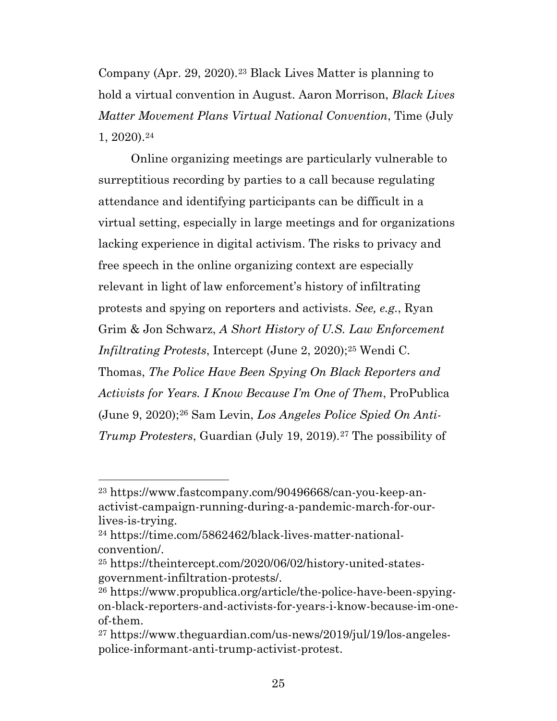Company (Apr. 29, 2020).[23](#page-24-0) Black Lives Matter is planning to hold a virtual convention in August. Aaron Morrison, *Black Lives Matter Movement Plans Virtual National Convention*, Time (July 1, 2020).[24](#page-24-1)

Online organizing meetings are particularly vulnerable to surreptitious recording by parties to a call because regulating attendance and identifying participants can be difficult in a virtual setting, especially in large meetings and for organizations lacking experience in digital activism. The risks to privacy and free speech in the online organizing context are especially relevant in light of law enforcement's history of infiltrating protests and spying on reporters and activists. *See, e.g.*, Ryan Grim & Jon Schwarz, *A Short History of U.S. Law Enforcement Infiltrating Protests*, Intercept (June 2, 2020)[;25](#page-24-2) Wendi C. Thomas, *The Police Have Been Spying On Black Reporters and Activists for Years. I Know Because I'm One of Them*, ProPublica (June 9, 2020);[26](#page-24-3) Sam Levin, *Los Angeles Police Spied On Anti-Trump Protesters*, Guardian (July 19, 2019).<sup>[27](#page-24-4)</sup> The possibility of

<span id="page-24-0"></span><sup>23</sup> [https://www.fastcompany.com/90496668/can-you-keep-an](https://www.fastcompany.com/90496668/can-you-keep-an-activist-campaign-running-during-a-pandemic-march-for-our-lives-is-trying)[activist-campaign-running-during-a-pandemic-march-for-our](https://www.fastcompany.com/90496668/can-you-keep-an-activist-campaign-running-during-a-pandemic-march-for-our-lives-is-trying)[lives-is-trying.](https://www.fastcompany.com/90496668/can-you-keep-an-activist-campaign-running-during-a-pandemic-march-for-our-lives-is-trying)

<span id="page-24-1"></span><sup>24</sup> [https://time.com/5862462/black-lives-matter-national](https://time.com/5862462/black-lives-matter-national-convention/)[convention/.](https://time.com/5862462/black-lives-matter-national-convention/)

<span id="page-24-2"></span><sup>25</sup> [https://theintercept.com/2020/06/02/history-united-states](https://theintercept.com/2020/06/02/history-united-states-government-infiltration-protests/)[government-infiltration-protests/.](https://theintercept.com/2020/06/02/history-united-states-government-infiltration-protests/)

<span id="page-24-3"></span><sup>26</sup> [https://www.propublica.org/article/the-police-have-been-spying](https://www.propublica.org/article/the-police-have-been-spying-on-black-reporters-and-activists-for-years-i-know-because-im-one-of-them)[on-black-reporters-and-activists-for-years-i-know-because-im-one](https://www.propublica.org/article/the-police-have-been-spying-on-black-reporters-and-activists-for-years-i-know-because-im-one-of-them)[of-them.](https://www.propublica.org/article/the-police-have-been-spying-on-black-reporters-and-activists-for-years-i-know-because-im-one-of-them)

<span id="page-24-4"></span><sup>27</sup> [https://www.theguardian.com/us-news/2019/jul/19/los-angeles](https://www.theguardian.com/us-news/2019/jul/19/los-angeles-police-informant-anti-trump-activist-protest)[police-informant-anti-trump-activist-protest.](https://www.theguardian.com/us-news/2019/jul/19/los-angeles-police-informant-anti-trump-activist-protest)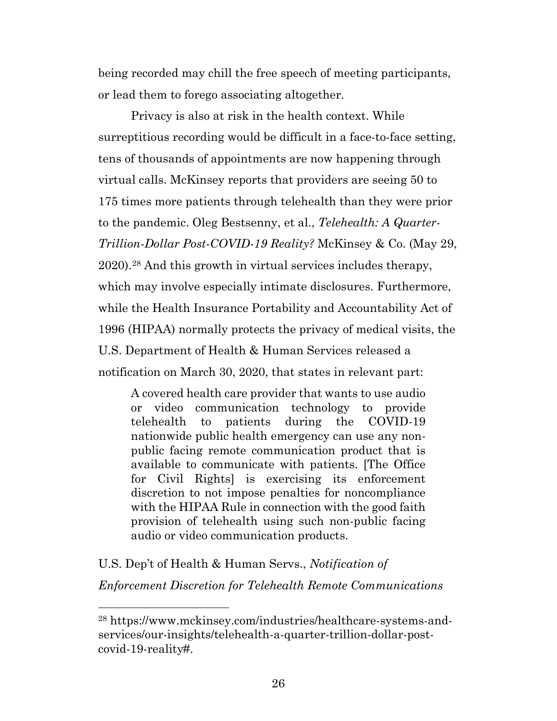being recorded may chill the free speech of meeting participants, or lead them to forego associating altogether.

Privacy is also at risk in the health context. While surreptitious recording would be difficult in a face-to-face setting, tens of thousands of appointments are now happening through virtual calls. McKinsey reports that providers are seeing 50 to 175 times more patients through telehealth than they were prior to the pandemic. Oleg Bestsenny, et al., *Telehealth: A Quarter-Trillion-Dollar Post-COVID-19 Reality?* McKinsey & Co. (May 29, 2020).[28](#page-25-0) And this growth in virtual services includes therapy, which may involve especially intimate disclosures. Furthermore, while the Health Insurance Portability and Accountability Act of 1996 (HIPAA) normally protects the privacy of medical visits, the U.S. Department of Health & Human Services released a notification on March 30, 2020, that states in relevant part:

A covered health care provider that wants to use audio or video communication technology to provide telehealth to patients during the COVID-19 nationwide public health emergency can use any nonpublic facing remote communication product that is available to communicate with patients. [The Office for Civil Rights] is exercising its enforcement discretion to not impose penalties for noncompliance with the HIPAA Rule in connection with the good faith provision of telehealth using such non-public facing audio or video communication products.

U.S. Dep't of Health & Human Servs., *Notification of Enforcement Discretion for Telehealth Remote Communications* 

<span id="page-25-0"></span><sup>28</sup> [https://www.mckinsey.com/industries/healthcare-systems-and](https://www.mckinsey.com/industries/healthcare-systems-and-services/our-insights/telehealth-a-quarter-trillion-dollar-post-covid-19-reality)[services/our-insights/telehealth-a-quarter-trillion-dollar-post](https://www.mckinsey.com/industries/healthcare-systems-and-services/our-insights/telehealth-a-quarter-trillion-dollar-post-covid-19-reality)[covid-19-reality#.](https://www.mckinsey.com/industries/healthcare-systems-and-services/our-insights/telehealth-a-quarter-trillion-dollar-post-covid-19-reality)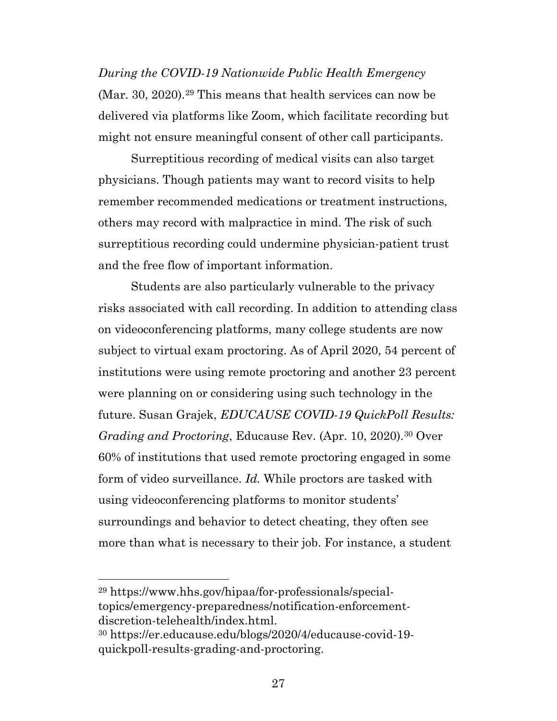*During the COVID-19 Nationwide Public Health Emergency* (Mar. 30, 2020).[29](#page-26-0) This means that health services can now be delivered via platforms like Zoom, which facilitate recording but might not ensure meaningful consent of other call participants.

Surreptitious recording of medical visits can also target physicians. Though patients may want to record visits to help remember recommended medications or treatment instructions, others may record with malpractice in mind. The risk of such surreptitious recording could undermine physician-patient trust and the free flow of important information.

Students are also particularly vulnerable to the privacy risks associated with call recording. In addition to attending class on videoconferencing platforms, many college students are now subject to virtual exam proctoring. As of April 2020, 54 percent of institutions were using remote proctoring and another 23 percent were planning on or considering using such technology in the future. Susan Grajek, *EDUCAUSE COVID-19 QuickPoll Results: Grading and Proctoring*, Educause Rev. (Apr. 10, 2020).[30](#page-26-1) Over 60% of institutions that used remote proctoring engaged in some form of video surveillance. *Id.* While proctors are tasked with using videoconferencing platforms to monitor students' surroundings and behavior to detect cheating, they often see more than what is necessary to their job. For instance, a student

<span id="page-26-0"></span><sup>29</sup> [https://www.hhs.gov/hipaa/for-professionals/special](https://www.hhs.gov/hipaa/for-professionals/special-topics/emergency-preparedness/notification-enforcement-discretion-telehealth/index.html)[topics/emergency-preparedness/notification-enforcement](https://www.hhs.gov/hipaa/for-professionals/special-topics/emergency-preparedness/notification-enforcement-discretion-telehealth/index.html)[discretion-telehealth/index.html.](https://www.hhs.gov/hipaa/for-professionals/special-topics/emergency-preparedness/notification-enforcement-discretion-telehealth/index.html)

<span id="page-26-1"></span><sup>30</sup> [https://er.educause.edu/blogs/2020/4/educause-covid-19](https://er.educause.edu/blogs/2020/4/educause-covid-19-quickpoll-results-grading-and-proctoring) [quickpoll-results-grading-and-proctoring.](https://er.educause.edu/blogs/2020/4/educause-covid-19-quickpoll-results-grading-and-proctoring)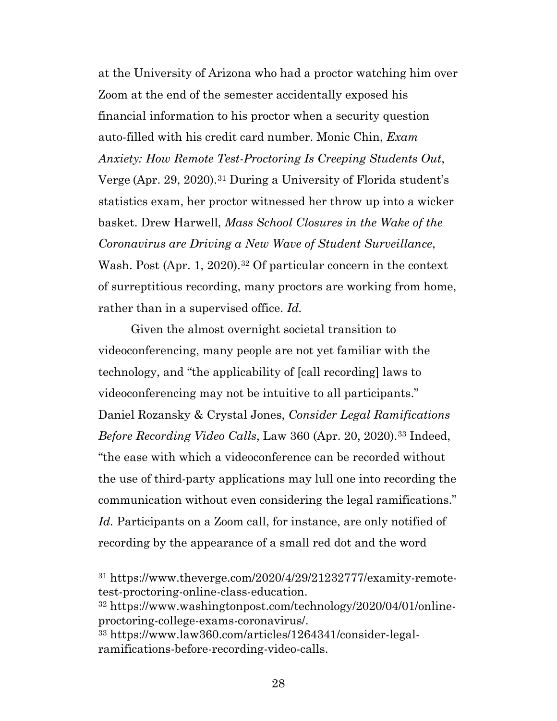at the University of Arizona who had a proctor watching him over Zoom at the end of the semester accidentally exposed his financial information to his proctor when a security question auto-filled with his credit card number. Monic Chin, *Exam Anxiety: How Remote Test-Proctoring Is Creeping Students Out*, Verge (Apr. 29, 2020).[31](#page-27-0) During a University of Florida student's statistics exam, her proctor witnessed her throw up into a wicker basket. Drew Harwell, *Mass School Closures in the Wake of the Coronavirus are Driving a New Wave of Student Surveillance*, Wash. Post (Apr. 1, 2020).<sup>[32](#page-27-1)</sup> Of particular concern in the context of surreptitious recording, many proctors are working from home, rather than in a supervised office. *Id.*

Given the almost overnight societal transition to videoconferencing, many people are not yet familiar with the technology, and "the applicability of [call recording] laws to videoconferencing may not be intuitive to all participants." Daniel Rozansky & Crystal Jones, *Consider Legal Ramifications Before Recording Video Calls*, Law 360 (Apr. 20, 2020).[33](#page-27-2) Indeed, "the ease with which a videoconference can be recorded without the use of third-party applications may lull one into recording the communication without even considering the legal ramifications." *Id.* Participants on a Zoom call, for instance, are only notified of recording by the appearance of a small red dot and the word

<span id="page-27-0"></span><sup>31</sup> [https://www.theverge.com/2020/4/29/21232777/examity-remote](https://www.theverge.com/2020/4/29/21232777/examity-remote-test-proctoring-online-class-education)[test-proctoring-online-class-education.](https://www.theverge.com/2020/4/29/21232777/examity-remote-test-proctoring-online-class-education)

<span id="page-27-1"></span><sup>32</sup> [https://www.washingtonpost.com/technology/2020/04/01/online](https://www.washingtonpost.com/technology/2020/04/01/online-proctoring-college-exams-coronavirus/)[proctoring-college-exams-coronavirus/.](https://www.washingtonpost.com/technology/2020/04/01/online-proctoring-college-exams-coronavirus/)

<span id="page-27-2"></span><sup>33</sup> [https://www.law360.com/articles/1264341/consider-legal](https://www.law360.com/articles/1264341/consider-legal-ramifications-before-recording-video-calls)[ramifications-before-recording-video-calls.](https://www.law360.com/articles/1264341/consider-legal-ramifications-before-recording-video-calls)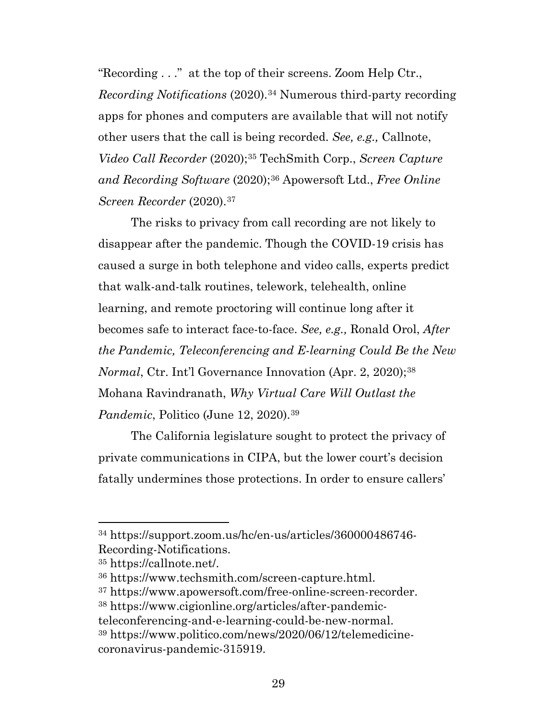"Recording . . ." at the top of their screens. Zoom Help Ctr., *Recording Notifications* (2020).[34](#page-28-0) Numerous third-party recording apps for phones and computers are available that will not notify other users that the call is being recorded. *See, e.g.,* Callnote, *Video Call Recorder* (2020);[35](#page-28-1) TechSmith Corp., *Screen Capture and Recording Software* (2020);[36](#page-28-2) Apowersoft Ltd., *Free Online Screen Recorder* (2020).[37](#page-28-3)

The risks to privacy from call recording are not likely to disappear after the pandemic. Though the COVID-19 crisis has caused a surge in both telephone and video calls, experts predict that walk-and-talk routines, telework, telehealth, online learning, and remote proctoring will continue long after it becomes safe to interact face-to-face. *See, e.g.,* Ronald Orol, *After the Pandemic, Teleconferencing and E-learning Could Be the New Normal*, Ctr. Int'l Governance Innovation (Apr. 2, 2020);<sup>[38](#page-28-4)</sup> Mohana Ravindranath, *Why Virtual Care Will Outlast the Pandemic*, Politico (June 12, 2020).<sup>[39](#page-28-5)</sup>

The California legislature sought to protect the privacy of private communications in CIPA, but the lower court's decision fatally undermines those protections. In order to ensure callers'

<span id="page-28-0"></span><sup>34</sup> [https://support.zoom.us/hc/en-us/articles/360000486746-](https://support.zoom.us/hc/en-us/articles/360000486746-Recording-Notifications) [Recording-Notifications.](https://support.zoom.us/hc/en-us/articles/360000486746-Recording-Notifications)

<span id="page-28-1"></span><sup>35</sup> [https://callnote.net/.](https://callnote.net/)

<span id="page-28-2"></span><sup>36</sup> [https://www.techsmith.com/screen-capture.html.](https://www.techsmith.com/screen-capture.html)

<span id="page-28-3"></span><sup>37</sup> [https://www.apowersoft.com/free-online-screen-recorder.](https://www.apowersoft.com/free-online-screen-recorder)

<span id="page-28-4"></span><sup>38</sup> [https://www.cigionline.org/articles/after-pandemic-](https://www.cigionline.org/articles/after-pandemic-teleconferencing-and-e-learning-could-be-new-normal)

<span id="page-28-5"></span>[teleconferencing-and-e-learning-could-be-new-normal.](https://www.cigionline.org/articles/after-pandemic-teleconferencing-and-e-learning-could-be-new-normal) 39 [https://www.politico.com/news/2020/06/12/telemedicine](https://www.politico.com/news/2020/06/12/telemedicine-coronavirus-pandemic-315919)[coronavirus-pandemic-315919.](https://www.politico.com/news/2020/06/12/telemedicine-coronavirus-pandemic-315919)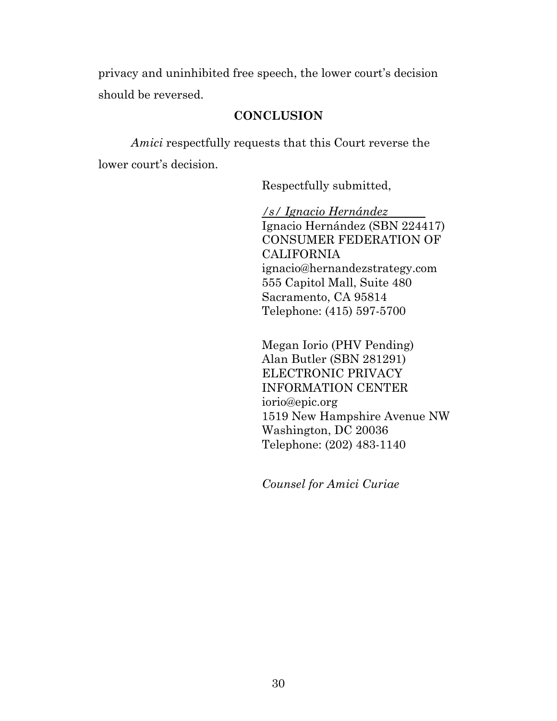privacy and uninhibited free speech, the lower court's decision should be reversed.

# **CONCLUSION**

*Amici* respectfully requests that this Court reverse the lower court's decision.

Respectfully submitted,

*/s/ Ignacio Hernández*  Ignacio Hernández (SBN 224417) CONSUMER FEDERATION OF CALIFORNIA ignacio@hernandezstrategy.com 555 Capitol Mall, Suite 480 Sacramento, CA 95814 Telephone: (415) 597-5700

Megan Iorio (PHV Pending) Alan Butler (SBN 281291) ELECTRONIC PRIVACY INFORMATION CENTER iorio@epic.org 1519 New Hampshire Avenue NW Washington, DC 20036 Telephone: (202) 483-1140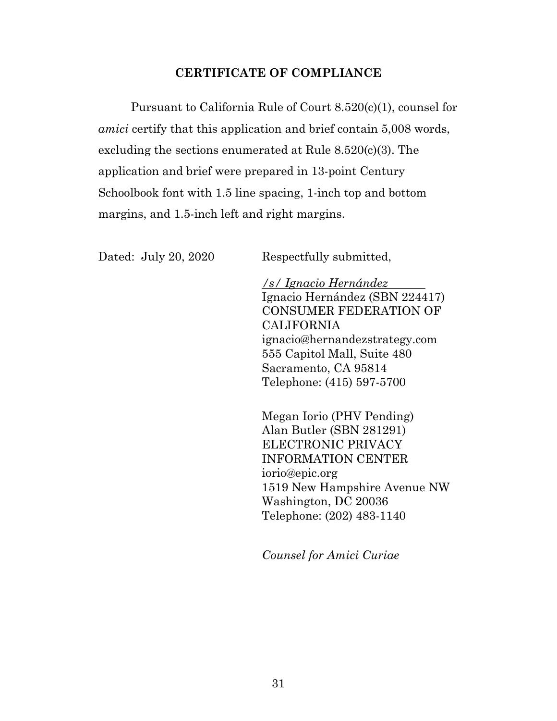# **CERTIFICATE OF COMPLIANCE**

Pursuant to California Rule of Court 8.520(c)(1), counsel for *amici* certify that this application and brief contain 5,008 words, excluding the sections enumerated at Rule 8.520(c)(3). The application and brief were prepared in 13-point Century Schoolbook font with 1.5 line spacing, 1-inch top and bottom margins, and 1.5-inch left and right margins.

Dated: July 20, 2020 Respectfully submitted,

*/s/ Ignacio Hernández*  Ignacio Hernández (SBN 224417) CONSUMER FEDERATION OF CALIFORNIA ignacio@hernandezstrategy.com 555 Capitol Mall, Suite 480 Sacramento, CA 95814 Telephone: (415) 597-5700

Megan Iorio (PHV Pending) Alan Butler (SBN 281291) ELECTRONIC PRIVACY INFORMATION CENTER iorio@epic.org 1519 New Hampshire Avenue NW Washington, DC 20036 Telephone: (202) 483-1140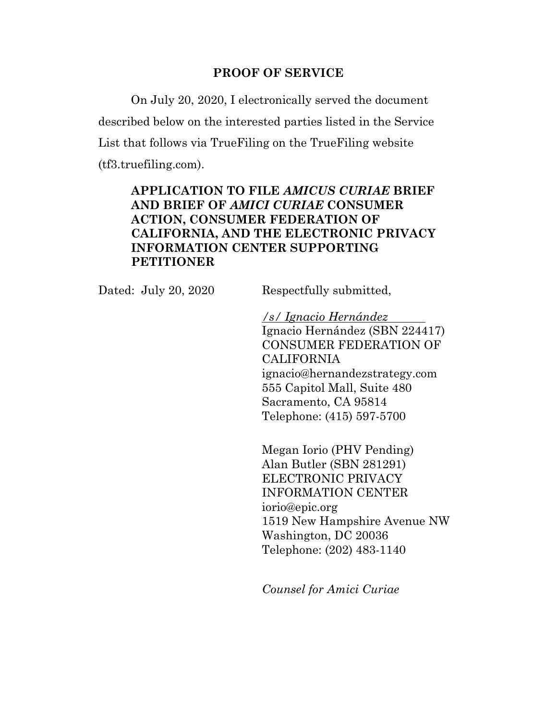### **PROOF OF SERVICE**

On July 20, 2020, I electronically served the document described below on the interested parties listed in the Service List that follows via TrueFiling on the TrueFiling website (tf3.truefiling.com).

# **APPLICATION TO FILE** *AMICUS CURIAE* **BRIEF AND BRIEF OF** *AMICI CURIAE* **CONSUMER ACTION, CONSUMER FEDERATION OF CALIFORNIA, AND THE ELECTRONIC PRIVACY INFORMATION CENTER SUPPORTING PETITIONER**

Dated: July 20, 2020 Respectfully submitted,

*/s/ Ignacio Hernández*  Ignacio Hernández (SBN 224417) CONSUMER FEDERATION OF CALIFORNIA ignacio@hernandezstrategy.com 555 Capitol Mall, Suite 480 Sacramento, CA 95814 Telephone: (415) 597-5700

Megan Iorio (PHV Pending) Alan Butler (SBN 281291) ELECTRONIC PRIVACY INFORMATION CENTER iorio@epic.org 1519 New Hampshire Avenue NW Washington, DC 20036 Telephone: (202) 483-1140